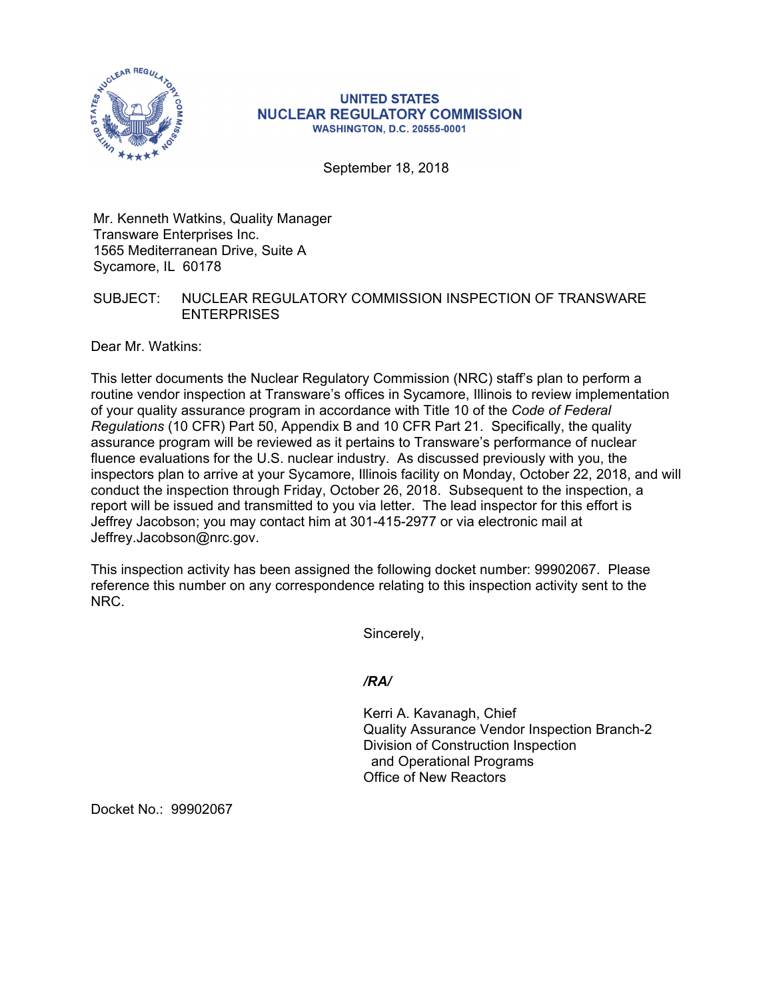

#### **UNITED STATES NUCLEAR REGULATORY COMMISSION WASHINGTON, D.C. 20555-0001**

September 18, 2018

Mr. Kenneth Watkins, Quality Manager Transware Enterprises Inc. 1565 Mediterranean Drive, Suite A Sycamore, IL 60178

# SUBJECT: NUCLEAR REGULATORY COMMISSION INSPECTION OF TRANSWARE **ENTERPRISES**

Dear Mr. Watkins:

This letter documents the Nuclear Regulatory Commission (NRC) staff's plan to perform a routine vendor inspection at Transware's offices in Sycamore, Illinois to review implementation of your quality assurance program in accordance with Title 10 of the *Code of Federal Regulations* (10 CFR) Part 50, Appendix B and 10 CFR Part 21. Specifically, the quality assurance program will be reviewed as it pertains to Transware's performance of nuclear fluence evaluations for the U.S. nuclear industry. As discussed previously with you, the inspectors plan to arrive at your Sycamore, Illinois facility on Monday, October 22, 2018, and will conduct the inspection through Friday, October 26, 2018. Subsequent to the inspection, a report will be issued and transmitted to you via letter. The lead inspector for this effort is Jeffrey Jacobson; you may contact him at 301-415-2977 or via electronic mail at Jeffrey.Jacobson@nrc.gov.

This inspection activity has been assigned the following docket number: 99902067. Please reference this number on any correspondence relating to this inspection activity sent to the NRC.

Sincerely,

# */RA/*

Kerri A. Kavanagh, Chief Quality Assurance Vendor Inspection Branch-2 Division of Construction Inspection and Operational Programs Office of New Reactors

Docket No.: 99902067